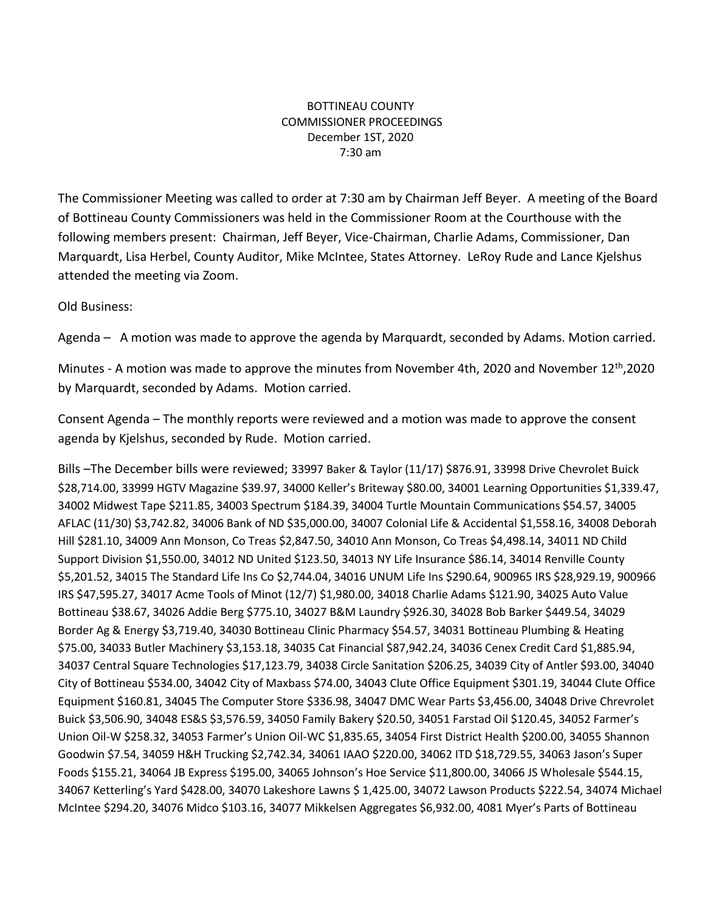## BOTTINEAU COUNTY COMMISSIONER PROCEEDINGS December 1ST, 2020 7:30 am

The Commissioner Meeting was called to order at 7:30 am by Chairman Jeff Beyer. A meeting of the Board of Bottineau County Commissioners was held in the Commissioner Room at the Courthouse with the following members present: Chairman, Jeff Beyer, Vice-Chairman, Charlie Adams, Commissioner, Dan Marquardt, Lisa Herbel, County Auditor, Mike McIntee, States Attorney. LeRoy Rude and Lance Kjelshus attended the meeting via Zoom.

Old Business:

Agenda – A motion was made to approve the agenda by Marquardt, seconded by Adams. Motion carried.

Minutes - A motion was made to approve the minutes from November 4th, 2020 and November 12<sup>th</sup>,2020 by Marquardt, seconded by Adams. Motion carried.

Consent Agenda – The monthly reports were reviewed and a motion was made to approve the consent agenda by Kjelshus, seconded by Rude. Motion carried.

Bills –The December bills were reviewed; 33997 Baker & Taylor (11/17) \$876.91, 33998 Drive Chevrolet Buick \$28,714.00, 33999 HGTV Magazine \$39.97, 34000 Keller's Briteway \$80.00, 34001 Learning Opportunities \$1,339.47, 34002 Midwest Tape \$211.85, 34003 Spectrum \$184.39, 34004 Turtle Mountain Communications \$54.57, 34005 AFLAC (11/30) \$3,742.82, 34006 Bank of ND \$35,000.00, 34007 Colonial Life & Accidental \$1,558.16, 34008 Deborah Hill \$281.10, 34009 Ann Monson, Co Treas \$2,847.50, 34010 Ann Monson, Co Treas \$4,498.14, 34011 ND Child Support Division \$1,550.00, 34012 ND United \$123.50, 34013 NY Life Insurance \$86.14, 34014 Renville County \$5,201.52, 34015 The Standard Life Ins Co \$2,744.04, 34016 UNUM Life Ins \$290.64, 900965 IRS \$28,929.19, 900966 IRS \$47,595.27, 34017 Acme Tools of Minot (12/7) \$1,980.00, 34018 Charlie Adams \$121.90, 34025 Auto Value Bottineau \$38.67, 34026 Addie Berg \$775.10, 34027 B&M Laundry \$926.30, 34028 Bob Barker \$449.54, 34029 Border Ag & Energy \$3,719.40, 34030 Bottineau Clinic Pharmacy \$54.57, 34031 Bottineau Plumbing & Heating \$75.00, 34033 Butler Machinery \$3,153.18, 34035 Cat Financial \$87,942.24, 34036 Cenex Credit Card \$1,885.94, 34037 Central Square Technologies \$17,123.79, 34038 Circle Sanitation \$206.25, 34039 City of Antler \$93.00, 34040 City of Bottineau \$534.00, 34042 City of Maxbass \$74.00, 34043 Clute Office Equipment \$301.19, 34044 Clute Office Equipment \$160.81, 34045 The Computer Store \$336.98, 34047 DMC Wear Parts \$3,456.00, 34048 Drive Chrevrolet Buick \$3,506.90, 34048 ES&S \$3,576.59, 34050 Family Bakery \$20.50, 34051 Farstad Oil \$120.45, 34052 Farmer's Union Oil-W \$258.32, 34053 Farmer's Union Oil-WC \$1,835.65, 34054 First District Health \$200.00, 34055 Shannon Goodwin \$7.54, 34059 H&H Trucking \$2,742.34, 34061 IAAO \$220.00, 34062 ITD \$18,729.55, 34063 Jason's Super Foods \$155.21, 34064 JB Express \$195.00, 34065 Johnson's Hoe Service \$11,800.00, 34066 JS Wholesale \$544.15, 34067 Ketterling's Yard \$428.00, 34070 Lakeshore Lawns \$ 1,425.00, 34072 Lawson Products \$222.54, 34074 Michael McIntee \$294.20, 34076 Midco \$103.16, 34077 Mikkelsen Aggregates \$6,932.00, 4081 Myer's Parts of Bottineau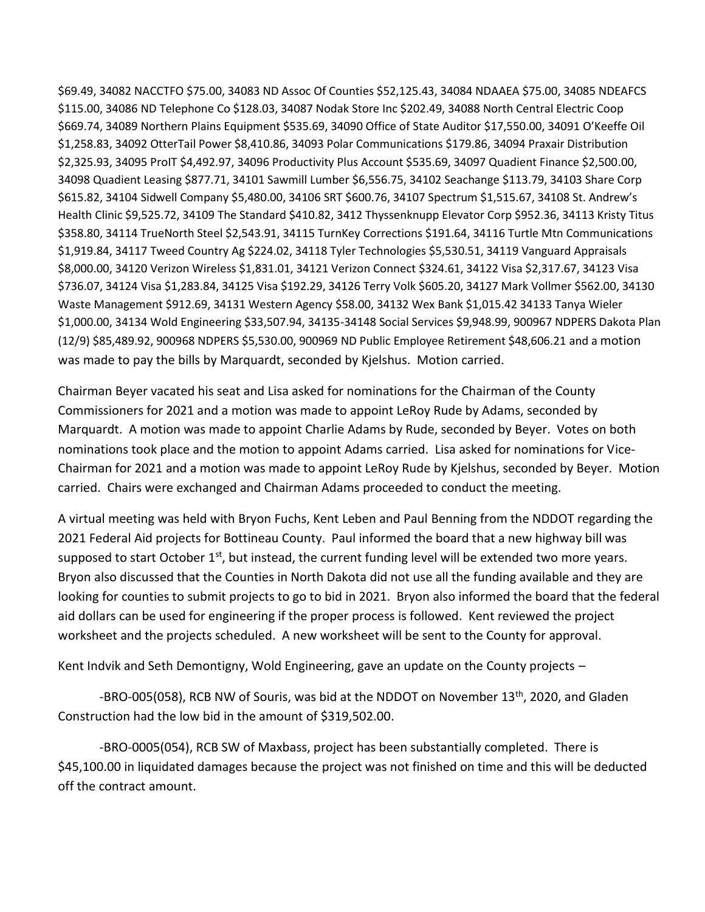\$69.49, 34082 NACCTFO \$75.00, 34083 ND Assoc Of Counties \$52,125.43, 34084 NDAAEA \$75.00, 34085 NDEAFCS \$115.00, 34086 ND Telephone Co \$128.03, 34087 Nodak Store Inc \$202.49, 34088 North Central Electric Coop \$669.74, 34089 Northern Plains Equipment \$535.69, 34090 Office of State Auditor \$17,550.00, 34091 O'Keeffe Oil \$1,258.83, 34092 OtterTail Power \$8,410.86, 34093 Polar Communications \$179.86, 34094 Praxair Distribution \$2,325.93, 34095 ProIT \$4,492.97, 34096 Productivity Plus Account \$535.69, 34097 Quadient Finance \$2,500.00, 34098 Quadient Leasing \$877.71, 34101 Sawmill Lumber \$6,556.75, 34102 Seachange \$113.79, 34103 Share Corp \$615.82, 34104 Sidwell Company \$5,480.00, 34106 SRT \$600.76, 34107 Spectrum \$1,515.67, 34108 St. Andrew's Health Clinic \$9,525.72, 34109 The Standard \$410.82, 3412 Thyssenknupp Elevator Corp \$952.36, 34113 Kristy Titus \$358.80, 34114 TrueNorth Steel \$2,543.91, 34115 TurnKey Corrections \$191.64, 34116 Turtle Mtn Communications \$1,919.84, 34117 Tweed Country Ag \$224.02, 34118 Tyler Technologies \$5,530.51, 34119 Vanguard Appraisals \$8,000.00, 34120 Verizon Wireless \$1,831.01, 34121 Verizon Connect \$324.61, 34122 Visa \$2,317.67, 34123 Visa \$736.07, 34124 Visa \$1,283.84, 34125 Visa \$192.29, 34126 Terry Volk \$605.20, 34127 Mark Vollmer \$562.00, 34130 Waste Management \$912.69, 34131 Western Agency \$58.00, 34132 Wex Bank \$1,015.42 34133 Tanya Wieler \$1,000.00, 34134 Wold Engineering \$33,507.94, 34135-34148 Social Services \$9,948.99, 900967 NDPERS Dakota Plan (12/9) \$85,489.92, 900968 NDPERS \$5,530.00, 900969 ND Public Employee Retirement \$48,606.21 and a motion was made to pay the bills by Marquardt, seconded by Kjelshus. Motion carried.

Chairman Beyer vacated his seat and Lisa asked for nominations for the Chairman of the County Commissioners for 2021 and a motion was made to appoint LeRoy Rude by Adams, seconded by Marquardt. A motion was made to appoint Charlie Adams by Rude, seconded by Beyer. Votes on both nominations took place and the motion to appoint Adams carried. Lisa asked for nominations for Vice-Chairman for 2021 and a motion was made to appoint LeRoy Rude by Kjelshus, seconded by Beyer. Motion carried. Chairs were exchanged and Chairman Adams proceeded to conduct the meeting.

A virtual meeting was held with Bryon Fuchs, Kent Leben and Paul Benning from the NDDOT regarding the 2021 Federal Aid projects for Bottineau County. Paul informed the board that a new highway bill was supposed to start October  $1<sup>st</sup>$ , but instead, the current funding level will be extended two more years. Bryon also discussed that the Counties in North Dakota did not use all the funding available and they are looking for counties to submit projects to go to bid in 2021. Bryon also informed the board that the federal aid dollars can be used for engineering if the proper process is followed. Kent reviewed the project worksheet and the projects scheduled. A new worksheet will be sent to the County for approval.

Kent Indvik and Seth Demontigny, Wold Engineering, gave an update on the County projects –

-BRO-005(058), RCB NW of Souris, was bid at the NDDOT on November 13<sup>th</sup>, 2020, and Gladen Construction had the low bid in the amount of \$319,502.00.

-BRO-0005(054), RCB SW of Maxbass, project has been substantially completed. There is \$45,100.00 in liquidated damages because the project was not finished on time and this will be deducted off the contract amount.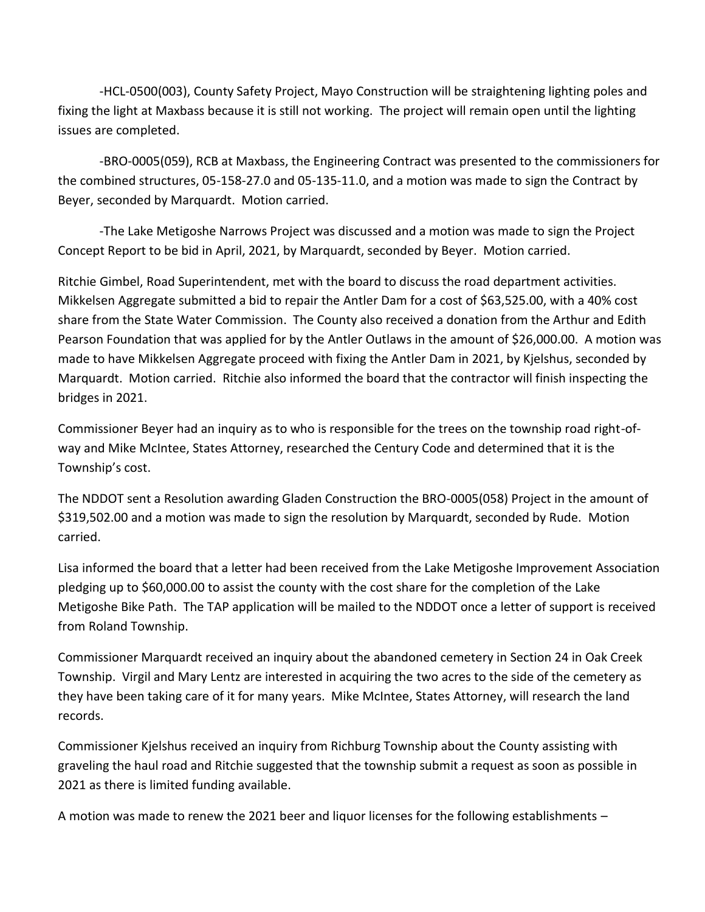-HCL-0500(003), County Safety Project, Mayo Construction will be straightening lighting poles and fixing the light at Maxbass because it is still not working. The project will remain open until the lighting issues are completed.

-BRO-0005(059), RCB at Maxbass, the Engineering Contract was presented to the commissioners for the combined structures, 05-158-27.0 and 05-135-11.0, and a motion was made to sign the Contract by Beyer, seconded by Marquardt. Motion carried.

-The Lake Metigoshe Narrows Project was discussed and a motion was made to sign the Project Concept Report to be bid in April, 2021, by Marquardt, seconded by Beyer. Motion carried.

Ritchie Gimbel, Road Superintendent, met with the board to discuss the road department activities. Mikkelsen Aggregate submitted a bid to repair the Antler Dam for a cost of \$63,525.00, with a 40% cost share from the State Water Commission. The County also received a donation from the Arthur and Edith Pearson Foundation that was applied for by the Antler Outlaws in the amount of \$26,000.00. A motion was made to have Mikkelsen Aggregate proceed with fixing the Antler Dam in 2021, by Kjelshus, seconded by Marquardt. Motion carried. Ritchie also informed the board that the contractor will finish inspecting the bridges in 2021.

Commissioner Beyer had an inquiry as to who is responsible for the trees on the township road right-ofway and Mike McIntee, States Attorney, researched the Century Code and determined that it is the Township's cost.

The NDDOT sent a Resolution awarding Gladen Construction the BRO-0005(058) Project in the amount of \$319,502.00 and a motion was made to sign the resolution by Marquardt, seconded by Rude. Motion carried.

Lisa informed the board that a letter had been received from the Lake Metigoshe Improvement Association pledging up to \$60,000.00 to assist the county with the cost share for the completion of the Lake Metigoshe Bike Path. The TAP application will be mailed to the NDDOT once a letter of support is received from Roland Township.

Commissioner Marquardt received an inquiry about the abandoned cemetery in Section 24 in Oak Creek Township. Virgil and Mary Lentz are interested in acquiring the two acres to the side of the cemetery as they have been taking care of it for many years. Mike McIntee, States Attorney, will research the land records.

Commissioner Kjelshus received an inquiry from Richburg Township about the County assisting with graveling the haul road and Ritchie suggested that the township submit a request as soon as possible in 2021 as there is limited funding available.

A motion was made to renew the 2021 beer and liquor licenses for the following establishments –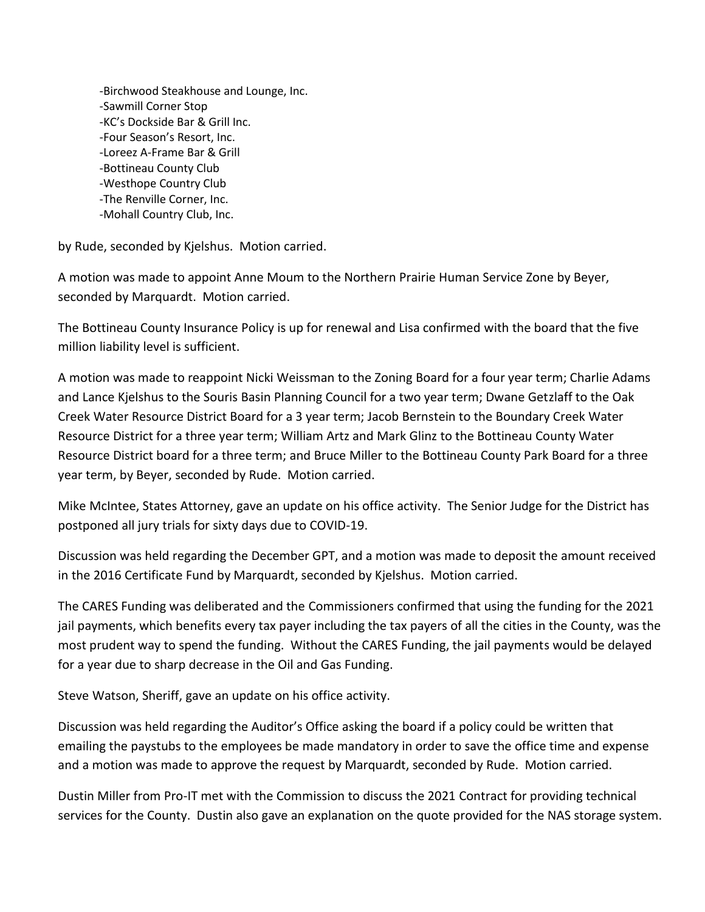-Birchwood Steakhouse and Lounge, Inc. -Sawmill Corner Stop -KC's Dockside Bar & Grill Inc. -Four Season's Resort, Inc. -Loreez A-Frame Bar & Grill -Bottineau County Club -Westhope Country Club -The Renville Corner, Inc. -Mohall Country Club, Inc.

by Rude, seconded by Kjelshus. Motion carried.

A motion was made to appoint Anne Moum to the Northern Prairie Human Service Zone by Beyer, seconded by Marquardt. Motion carried.

The Bottineau County Insurance Policy is up for renewal and Lisa confirmed with the board that the five million liability level is sufficient.

A motion was made to reappoint Nicki Weissman to the Zoning Board for a four year term; Charlie Adams and Lance Kjelshus to the Souris Basin Planning Council for a two year term; Dwane Getzlaff to the Oak Creek Water Resource District Board for a 3 year term; Jacob Bernstein to the Boundary Creek Water Resource District for a three year term; William Artz and Mark Glinz to the Bottineau County Water Resource District board for a three term; and Bruce Miller to the Bottineau County Park Board for a three year term, by Beyer, seconded by Rude. Motion carried.

Mike McIntee, States Attorney, gave an update on his office activity. The Senior Judge for the District has postponed all jury trials for sixty days due to COVID-19.

Discussion was held regarding the December GPT, and a motion was made to deposit the amount received in the 2016 Certificate Fund by Marquardt, seconded by Kjelshus. Motion carried.

The CARES Funding was deliberated and the Commissioners confirmed that using the funding for the 2021 jail payments, which benefits every tax payer including the tax payers of all the cities in the County, was the most prudent way to spend the funding. Without the CARES Funding, the jail payments would be delayed for a year due to sharp decrease in the Oil and Gas Funding.

Steve Watson, Sheriff, gave an update on his office activity.

Discussion was held regarding the Auditor's Office asking the board if a policy could be written that emailing the paystubs to the employees be made mandatory in order to save the office time and expense and a motion was made to approve the request by Marquardt, seconded by Rude. Motion carried.

Dustin Miller from Pro-IT met with the Commission to discuss the 2021 Contract for providing technical services for the County. Dustin also gave an explanation on the quote provided for the NAS storage system.